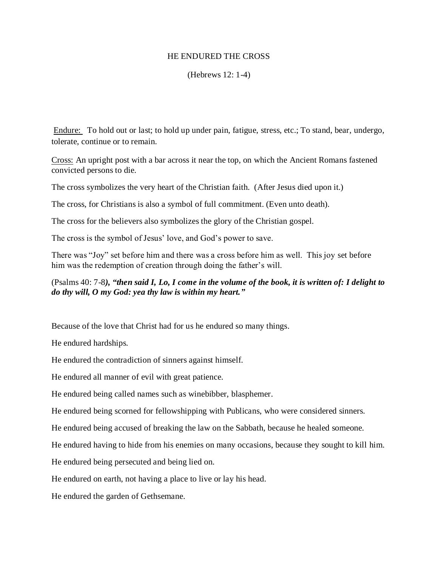## HE ENDURED THE CROSS

## (Hebrews 12: 1-4)

Endure: To hold out or last; to hold up under pain, fatigue, stress, etc.; To stand, bear, undergo, tolerate, continue or to remain.

Cross: An upright post with a bar across it near the top, on which the Ancient Romans fastened convicted persons to die.

The cross symbolizes the very heart of the Christian faith. (After Jesus died upon it.)

The cross, for Christians is also a symbol of full commitment. (Even unto death).

The cross for the believers also symbolizes the glory of the Christian gospel.

The cross is the symbol of Jesus' love, and God's power to save.

There was "Joy" set before him and there was a cross before him as well. This joy set before him was the redemption of creation through doing the father's will.

## (Psalms 40: 7-8*), "then said I, Lo, I come in the volume of the book, it is written of: I delight to do thy will, O my God: yea thy law is within my heart."*

Because of the love that Christ had for us he endured so many things.

He endured hardships.

He endured the contradiction of sinners against himself.

He endured all manner of evil with great patience.

He endured being called names such as winebibber, blasphemer.

He endured being scorned for fellowshipping with Publicans, who were considered sinners.

He endured being accused of breaking the law on the Sabbath, because he healed someone.

He endured having to hide from his enemies on many occasions, because they sought to kill him.

He endured being persecuted and being lied on.

He endured on earth, not having a place to live or lay his head.

He endured the garden of Gethsemane.